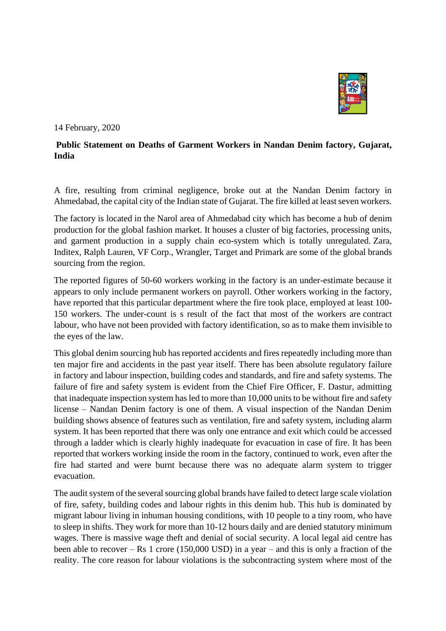

14 February, 2020

## **Public Statement on Deaths of Garment Workers in Nandan Denim factory, Gujarat, India**

A fire, resulting from criminal negligence, broke out at the Nandan Denim factory in Ahmedabad, the capital city of the Indian state of Gujarat. The fire killed at least seven workers.

The factory is located in the Narol area of Ahmedabad city which has become a hub of denim production for the global fashion market. It houses a cluster of big factories, processing units, and garment production in a supply chain eco-system which is totally unregulated. Zara, Inditex, Ralph Lauren, VF Corp., Wrangler, Target and Primark are some of the global brands sourcing from the region.

The reported figures of 50-60 workers working in the factory is an under-estimate because it appears to only include permanent workers on payroll. Other workers working in the factory, have reported that this particular department where the fire took place, employed at least 100- 150 workers. The under-count is s result of the fact that most of the workers are contract labour, who have not been provided with factory identification, so as to make them invisible to the eyes of the law.

This global denim sourcing hub has reported accidents and fires repeatedly including more than ten major fire and accidents in the past year itself. There has been absolute regulatory failure in factory and labour inspection, building codes and standards, and fire and safety systems. The failure of fire and safety system is evident from the Chief Fire Officer, F. Dastur, admitting that inadequate inspection system has led to more than 10,000 units to be without fire and safety license – Nandan Denim factory is one of them. A visual inspection of the Nandan Denim building shows absence of features such as ventilation, fire and safety system, including alarm system. It has been reported that there was only one entrance and exit which could be accessed through a ladder which is clearly highly inadequate for evacuation in case of fire. It has been reported that workers working inside the room in the factory, continued to work, even after the fire had started and were burnt because there was no adequate alarm system to trigger evacuation.

The audit system of the several sourcing global brands have failed to detect large scale violation of fire, safety, building codes and labour rights in this denim hub. This hub is dominated by migrant labour living in inhuman housing conditions, with 10 people to a tiny room, who have to sleep in shifts. They work for more than 10-12 hours daily and are denied statutory minimum wages. There is massive wage theft and denial of social security. A local legal aid centre has been able to recover – Rs 1 crore (150,000 USD) in a year – and this is only a fraction of the reality. The core reason for labour violations is the subcontracting system where most of the